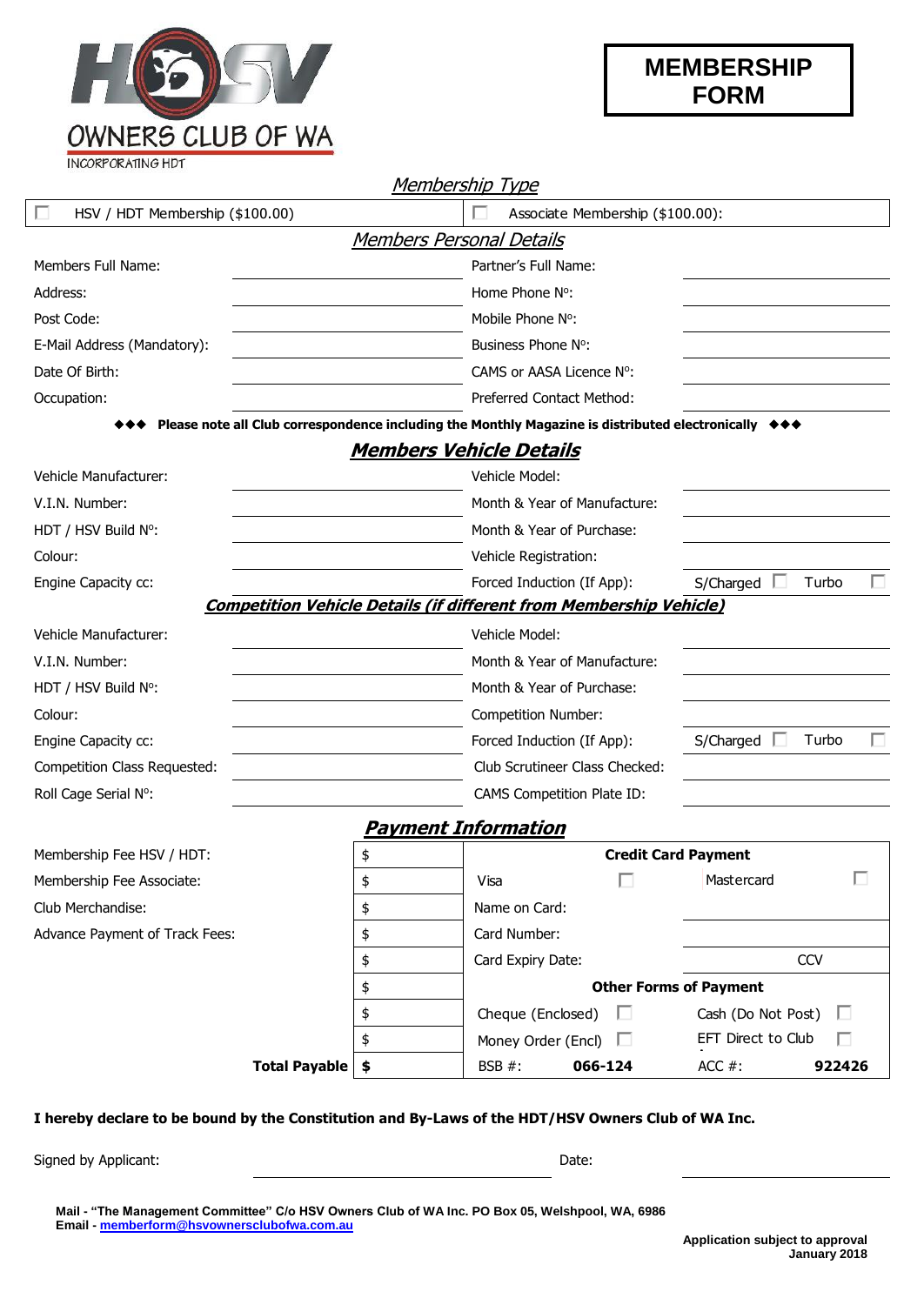

**INCORPORATING HDT** 

|                                 |                                 | <u>Membership Type</u>                                                                                                            |                         |  |  |  |  |
|---------------------------------|---------------------------------|-----------------------------------------------------------------------------------------------------------------------------------|-------------------------|--|--|--|--|
| HSV / HDT Membership (\$100.00) |                                 | Associate Membership (\$100.00):                                                                                                  |                         |  |  |  |  |
|                                 | <b>Members Personal Details</b> |                                                                                                                                   |                         |  |  |  |  |
| Members Full Name:              |                                 | Partner's Full Name:                                                                                                              |                         |  |  |  |  |
| Address:                        |                                 | Home Phone N°:                                                                                                                    |                         |  |  |  |  |
| Post Code:                      |                                 | Mobile Phone N°:                                                                                                                  |                         |  |  |  |  |
| E-Mail Address (Mandatory):     |                                 | Business Phone N°:                                                                                                                |                         |  |  |  |  |
| Date Of Birth:                  |                                 | CAMS or AASA Licence N°:                                                                                                          |                         |  |  |  |  |
| Occupation:                     |                                 | Preferred Contact Method:                                                                                                         |                         |  |  |  |  |
|                                 |                                 | Please note all Club correspondence including the Monthly Magazine is distributed electronically $\leftrightarrow\leftrightarrow$ |                         |  |  |  |  |
|                                 |                                 | <u>Members Vehicle Details</u>                                                                                                    |                         |  |  |  |  |
| Vehicle Manufacturer:           |                                 | Vehicle Model:                                                                                                                    |                         |  |  |  |  |
| V.I.N. Number:                  |                                 | Month & Year of Manufacture:                                                                                                      |                         |  |  |  |  |
| HDT / HSV Build N°:             |                                 | Month & Year of Purchase:                                                                                                         |                         |  |  |  |  |
| Colour:                         |                                 | Vehicle Registration:                                                                                                             |                         |  |  |  |  |
| Engine Capacity cc:             |                                 | Forced Induction (If App):<br>S/Charged<br>Turbo                                                                                  |                         |  |  |  |  |
|                                 |                                 | <b>Competition Vehicle Details (if different from Membership Vehicle)</b>                                                         |                         |  |  |  |  |
| Vehicle Manufacturer:           |                                 | Vehicle Model:                                                                                                                    |                         |  |  |  |  |
| V.I.N. Number:                  |                                 | Month & Year of Manufacture:                                                                                                      |                         |  |  |  |  |
| HDT / HSV Build N°:             |                                 | Month & Year of Purchase:                                                                                                         |                         |  |  |  |  |
| Colour:                         |                                 | Competition Number:                                                                                                               |                         |  |  |  |  |
| Engine Capacity cc:             |                                 | Forced Induction (If App):                                                                                                        | Turbo<br>S/Charged      |  |  |  |  |
| Competition Class Requested:    |                                 | Club Scrutineer Class Checked:                                                                                                    |                         |  |  |  |  |
| Roll Cage Serial N°:            |                                 | CAMS Competition Plate ID:                                                                                                        |                         |  |  |  |  |
|                                 |                                 | Payment Information                                                                                                               |                         |  |  |  |  |
| Membership Fee HSV / HDT:       | \$                              | <b>Credit Card Payment</b>                                                                                                        |                         |  |  |  |  |
| Membership Fee Associate:       | \$                              | Visa                                                                                                                              | Mastercard              |  |  |  |  |
| Club Merchandise:               | \$                              | Name on Card:                                                                                                                     |                         |  |  |  |  |
| Advance Payment of Track Fees:  | \$                              | Card Number:                                                                                                                      |                         |  |  |  |  |
|                                 | \$                              | Card Expiry Date:                                                                                                                 | <b>CCV</b>              |  |  |  |  |
|                                 | \$                              | <b>Other Forms of Payment</b>                                                                                                     |                         |  |  |  |  |
|                                 | \$                              | Cheque (Enclosed)<br>ш                                                                                                            | Cash (Do Not Post)<br>ш |  |  |  |  |
|                                 | \$                              | Money Order (Encl)<br>ш                                                                                                           | EFT Direct to Club      |  |  |  |  |
| Total Payable   \$              |                                 | 066-124<br>BSB #:                                                                                                                 | ACC $#$ :<br>922426     |  |  |  |  |

## **I hereby declare to be bound by the Constitution and By-Laws of the HDT/HSV Owners Club of WA Inc.**

Signed by Applicant: Date: Date: Date: Date: Date: Date: Date: Date: Date: Date: Date: Date: Date: Date: Date: Date: Date: Date: Date: Date: Date: Date: Date: Date: Date: Date: Date: Date: Date: Date: Date: Date: Date: Dat

**Mail - "The Management Committee" C/o HSV Owners Club of WA Inc. PO Box 05, Welshpool, WA, 6986 Email - [memberform@hsvownersclubofwa.com.au](mailto:memberform@hsvownersclubofwa.com.au)**